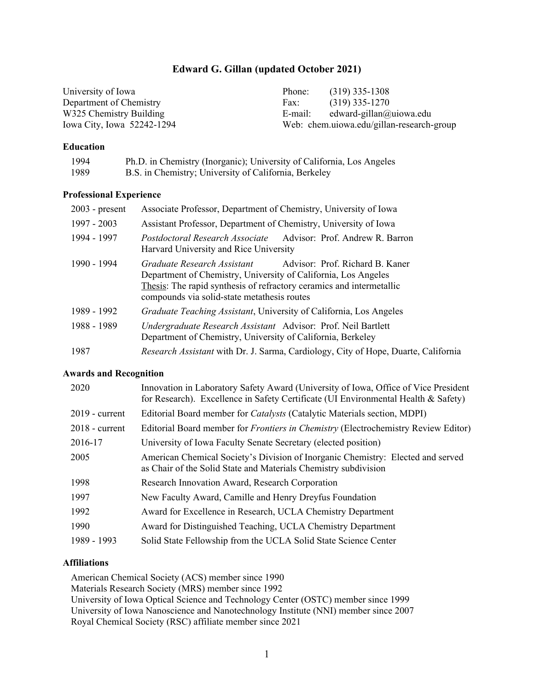# **Edward G. Gillan (updated October 2021)**

| University of Iowa         | Phone:  | $(319)$ 335-1308                          |
|----------------------------|---------|-------------------------------------------|
| Department of Chemistry    | Fax:    | $(319)$ 335-1270                          |
| W325 Chemistry Building    | E-mail: | edward-gillan@uiowa.edu                   |
| Iowa City, Iowa 52242-1294 |         | Web: chem.uiowa.edu/gillan-research-group |

#### **Education**

| 1994 | Ph.D. in Chemistry (Inorganic); University of California, Los Angeles |
|------|-----------------------------------------------------------------------|
| 1989 | B.S. in Chemistry; University of California, Berkeley                 |

#### **Professional Experience**

| $2003$ - present | Associate Professor, Department of Chemistry, University of Iowa                                                                                                                                                                                        |  |  |
|------------------|---------------------------------------------------------------------------------------------------------------------------------------------------------------------------------------------------------------------------------------------------------|--|--|
| 1997 - 2003      | Assistant Professor, Department of Chemistry, University of Iowa                                                                                                                                                                                        |  |  |
| 1994 - 1997      | Postdoctoral Research Associate Advisor: Prof. Andrew R. Barron<br>Harvard University and Rice University                                                                                                                                               |  |  |
| 1990 - 1994      | Advisor: Prof. Richard B. Kaner<br>Graduate Research Assistant<br>Department of Chemistry, University of California, Los Angeles<br>Thesis: The rapid synthesis of refractory ceramics and intermetallic<br>compounds via solid-state metathesis routes |  |  |
| 1989 - 1992      | <i>Graduate Teaching Assistant</i> , University of California, Los Angeles                                                                                                                                                                              |  |  |
| 1988 - 1989      | Undergraduate Research Assistant Advisor: Prof. Neil Bartlett<br>Department of Chemistry, University of California, Berkeley                                                                                                                            |  |  |
| 1987             | Research Assistant with Dr. J. Sarma, Cardiology, City of Hope, Duarte, California                                                                                                                                                                      |  |  |

### **Awards and Recognition**

| 2020           | Innovation in Laboratory Safety Award (University of Iowa, Office of Vice President<br>for Research). Excellence in Safety Certificate (UI Environmental Health & Safety) |
|----------------|---------------------------------------------------------------------------------------------------------------------------------------------------------------------------|
| 2019 - current | Editorial Board member for <i>Catalysts</i> (Catalytic Materials section, MDPI)                                                                                           |
| 2018 - current | Editorial Board member for <i>Frontiers in Chemistry</i> (Electrochemistry Review Editor)                                                                                 |
| 2016-17        | University of Iowa Faculty Senate Secretary (elected position)                                                                                                            |
| 2005           | American Chemical Society's Division of Inorganic Chemistry: Elected and served<br>as Chair of the Solid State and Materials Chemistry subdivision                        |
| 1998           | Research Innovation Award, Research Corporation                                                                                                                           |
| 1997           | New Faculty Award, Camille and Henry Dreyfus Foundation                                                                                                                   |
| 1992           | Award for Excellence in Research, UCLA Chemistry Department                                                                                                               |
| 1990           | Award for Distinguished Teaching, UCLA Chemistry Department                                                                                                               |
| 1989 - 1993    | Solid State Fellowship from the UCLA Solid State Science Center                                                                                                           |

### **Affiliations**

American Chemical Society (ACS) member since 1990 Materials Research Society (MRS) member since 1992 University of Iowa Optical Science and Technology Center (OSTC) member since 1999 University of Iowa Nanoscience and Nanotechnology Institute (NNI) member since 2007 Royal Chemical Society (RSC) affiliate member since 2021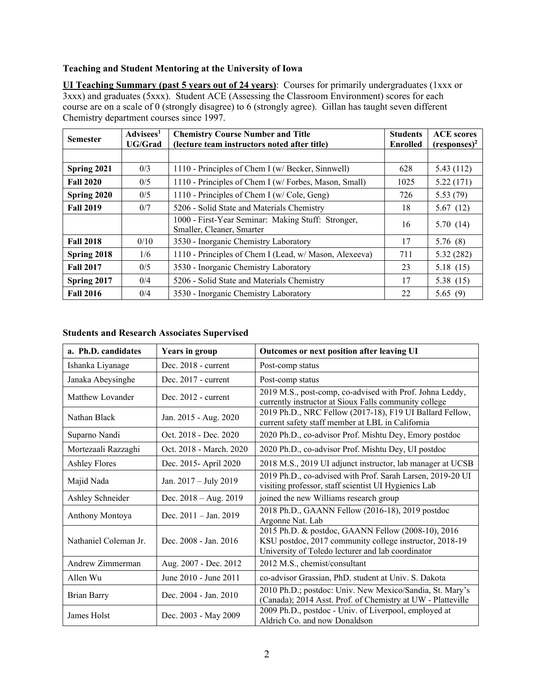## **Teaching and Student Mentoring at the University of Iowa**

**UI Teaching Summary (past 5 years out of 24 years)**: Courses for primarily undergraduates (1xxx or 3xxx) and graduates (5xxx). Student ACE (Assessing the Classroom Environment) scores for each course are on a scale of 0 (strongly disagree) to 6 (strongly agree). Gillan has taught seven different Chemistry department courses since 1997.

| <b>Semester</b>  | Advisees <sup>1</sup><br><b>UG/Grad</b> | <b>Chemistry Course Number and Title</b><br>(lecture team instructors noted after title) | <b>Students</b><br><b>Enrolled</b> | <b>ACE</b> scores<br>$(resposes)^2$ |
|------------------|-----------------------------------------|------------------------------------------------------------------------------------------|------------------------------------|-------------------------------------|
|                  |                                         |                                                                                          |                                    |                                     |
| Spring 2021      | 0/3                                     | 1110 - Principles of Chem I (w/ Becker, Sinnwell)                                        | 628                                | 5.43(112)                           |
| <b>Fall 2020</b> | 0/5                                     | 1110 - Principles of Chem I (w/ Forbes, Mason, Small)                                    | 1025                               | 5.22(171)                           |
| Spring 2020      | 0/5                                     | 1110 - Principles of Chem I (w/ Cole, Geng)                                              | 726                                | 5.53(79)                            |
| <b>Fall 2019</b> | 0/7                                     | 5206 - Solid State and Materials Chemistry                                               | 18                                 | 5.67(12)                            |
|                  |                                         | 1000 - First-Year Seminar: Making Stuff: Stronger,<br>Smaller, Cleaner, Smarter          | 16                                 | 5.70(14)                            |
| <b>Fall 2018</b> | 0/10                                    | 3530 - Inorganic Chemistry Laboratory                                                    | 17                                 | 5.76(8)                             |
| Spring 2018      | 1/6                                     | 1110 - Principles of Chem I (Lead, w/ Mason, Alexeeva)                                   | 711                                | 5.32(282)                           |
| <b>Fall 2017</b> | 0/5                                     | 3530 - Inorganic Chemistry Laboratory                                                    | 23                                 | 5.18(15)                            |
| Spring 2017      | 0/4                                     | 5206 - Solid State and Materials Chemistry                                               | 17                                 | 5.38 (15)                           |
| <b>Fall 2016</b> | 0/4                                     | 3530 - Inorganic Chemistry Laboratory                                                    | 22                                 | 5.65(9)                             |

# **Students and Research Associates Supervised**

| a. Ph.D. candidates   | <b>Years in group</b>   | Outcomes or next position after leaving UI                                                                                                                         |
|-----------------------|-------------------------|--------------------------------------------------------------------------------------------------------------------------------------------------------------------|
| Ishanka Liyanage      | Dec. $2018$ - current   | Post-comp status                                                                                                                                                   |
| Janaka Abeysinghe     | Dec. $2017$ - current   | Post-comp status                                                                                                                                                   |
| Matthew Lovander      | Dec. 2012 - current     | 2019 M.S., post-comp, co-advised with Prof. Johna Leddy,<br>currently instructor at Sioux Falls community college                                                  |
| Nathan Black          | Jan. 2015 - Aug. 2020   | 2019 Ph.D., NRC Fellow (2017-18), F19 UI Ballard Fellow,<br>current safety staff member at LBL in California                                                       |
| Suparno Nandi         | Oct. 2018 - Dec. 2020   | 2020 Ph.D., co-advisor Prof. Mishtu Dey, Emory postdoc                                                                                                             |
| Mortezaali Razzaghi   | Oct. 2018 - March. 2020 | 2020 Ph.D., co-advisor Prof. Mishtu Dey, UI postdoc                                                                                                                |
| <b>Ashley Flores</b>  | Dec. 2015- April 2020   | 2018 M.S., 2019 UI adjunct instructor, lab manager at UCSB                                                                                                         |
| Majid Nada            | Jan. 2017 - July 2019   | 2019 Ph.D., co-advised with Prof. Sarah Larsen, 2019-20 UI<br>visiting professor, staff scientist UI Hygienics Lab                                                 |
| Ashley Schneider      | Dec. $2018 - Aug. 2019$ | joined the new Williams research group                                                                                                                             |
| Anthony Montoya       | Dec. $2011 - Jan. 2019$ | 2018 Ph.D., GAANN Fellow (2016-18), 2019 postdoc<br>Argonne Nat. Lab                                                                                               |
| Nathaniel Coleman Jr. | Dec. 2008 - Jan. 2016   | 2015 Ph.D. & postdoc, GAANN Fellow (2008-10), 2016<br>KSU postdoc, 2017 community college instructor, 2018-19<br>University of Toledo lecturer and lab coordinator |
| Andrew Zimmerman      | Aug. 2007 - Dec. 2012   | 2012 M.S., chemist/consultant                                                                                                                                      |
| Allen Wu              | June 2010 - June 2011   | co-advisor Grassian, PhD. student at Univ. S. Dakota                                                                                                               |
| <b>Brian Barry</b>    | Dec. 2004 - Jan. 2010   | 2010 Ph.D.; postdoc: Univ. New Mexico/Sandia, St. Mary's<br>(Canada); 2014 Asst. Prof. of Chemistry at UW - Platteville                                            |
| James Holst           | Dec. 2003 - May 2009    | 2009 Ph.D., postdoc - Univ. of Liverpool, employed at<br>Aldrich Co. and now Donaldson                                                                             |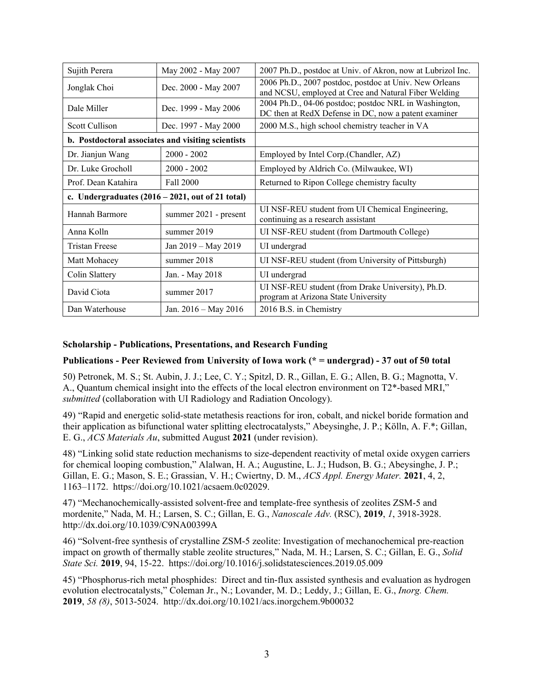| Sujith Perera                                                       | May 2002 - May 2007   | 2007 Ph.D., postdoc at Univ. of Akron, now at Lubrizol Inc.                                                    |
|---------------------------------------------------------------------|-----------------------|----------------------------------------------------------------------------------------------------------------|
| Jonglak Choi                                                        | Dec. 2000 - May 2007  | 2006 Ph.D., 2007 postdoc, postdoc at Univ. New Orleans<br>and NCSU, employed at Cree and Natural Fiber Welding |
| Dale Miller                                                         | Dec. 1999 - May 2006  | 2004 Ph.D., 04-06 postdoc; postdoc NRL in Washington,<br>DC then at RedX Defense in DC, now a patent examiner  |
| Scott Cullison                                                      | Dec. 1997 - May 2000  | 2000 M.S., high school chemistry teacher in VA                                                                 |
| b. Postdoctoral associates and visiting scientists                  |                       |                                                                                                                |
| Dr. Jianjun Wang                                                    | $2000 - 2002$         | Employed by Intel Corp.(Chandler, AZ)                                                                          |
| Dr. Luke Grocholl                                                   | $2000 - 2002$         | Employed by Aldrich Co. (Milwaukee, WI)                                                                        |
| Prof. Dean Katahira                                                 | Fall 2000             | Returned to Ripon College chemistry faculty                                                                    |
| c. Undergraduates $(2016 - 2021, \text{ out of } 21 \text{ total})$ |                       |                                                                                                                |
| Hannah Barmore                                                      | summer 2021 - present | UI NSF-REU student from UI Chemical Engineering,<br>continuing as a research assistant                         |
| Anna Kolln                                                          | summer 2019           | UI NSF-REU student (from Dartmouth College)                                                                    |
| <b>Tristan Freese</b>                                               | Jan 2019 - May 2019   | UI undergrad                                                                                                   |
| Matt Mohacey                                                        | summer 2018           | UI NSF-REU student (from University of Pittsburgh)                                                             |
| Colin Slattery                                                      | Jan. - May 2018       | UI undergrad                                                                                                   |
| David Ciota                                                         | summer 2017           | UI NSF-REU student (from Drake University), Ph.D.<br>program at Arizona State University                       |
| Dan Waterhouse                                                      | Jan. 2016 – May 2016  | 2016 B.S. in Chemistry                                                                                         |

# **Scholarship - Publications, Presentations, and Research Funding**

### **Publications - Peer Reviewed from University of Iowa work (\* = undergrad) - 37 out of 50 total**

50) Petronek, M. S.; St. Aubin, J. J.; Lee, C. Y.; Spitzl, D. R., Gillan, E. G.; Allen, B. G.; Magnotta, V. A., Quantum chemical insight into the effects of the local electron environment on T2\*-based MRI," *submitted* (collaboration with UI Radiology and Radiation Oncology).

49) "Rapid and energetic solid-state metathesis reactions for iron, cobalt, and nickel boride formation and their application as bifunctional water splitting electrocatalysts," Abeysinghe, J. P.; Kölln, A. F.\*; Gillan, E. G., *ACS Materials Au*, submitted August **2021** (under revision).

48) "Linking solid state reduction mechanisms to size-dependent reactivity of metal oxide oxygen carriers for chemical looping combustion," Alalwan, H. A.; Augustine, L. J.; Hudson, B. G.; Abeysinghe, J. P.; Gillan, E. G.; Mason, S. E.; Grassian, V. H.; Cwiertny, D. M., *ACS Appl. Energy Mater.* **2021**, 4, 2, 1163–1172. https://doi.org/10.1021/acsaem.0c02029.

47) "Mechanochemically-assisted solvent-free and template-free synthesis of zeolites ZSM-5 and mordenite," Nada, M. H.; Larsen, S. C.; Gillan, E. G., *Nanoscale Adv.* (RSC), **2019**, *1*, 3918-3928. http://dx.doi.org/10.1039/C9NA00399A

46) "Solvent-free synthesis of crystalline ZSM-5 zeolite: Investigation of mechanochemical pre-reaction impact on growth of thermally stable zeolite structures," Nada, M. H.; Larsen, S. C.; Gillan, E. G., *Solid State Sci.* **2019**, 94, 15-22. https://doi.org/10.1016/j.solidstatesciences.2019.05.009

45) "Phosphorus-rich metal phosphides: Direct and tin-flux assisted synthesis and evaluation as hydrogen evolution electrocatalysts," Coleman Jr., N.; Lovander, M. D.; Leddy, J.; Gillan, E. G., *Inorg. Chem.* **2019**, *58 (8)*, 5013-5024. http://dx.doi.org/10.1021/acs.inorgchem.9b00032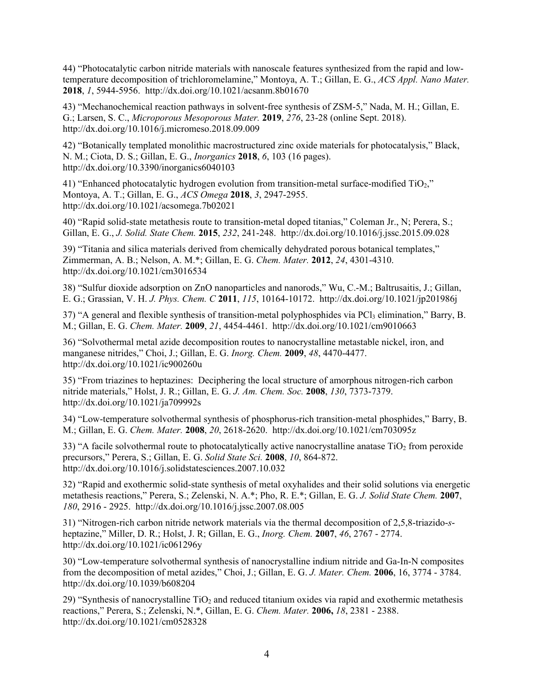44) "Photocatalytic carbon nitride materials with nanoscale features synthesized from the rapid and lowtemperature decomposition of trichloromelamine," Montoya, A. T.; Gillan, E. G., *ACS Appl. Nano Mater.* **2018**, *1*, 5944-5956. http://dx.doi.org/10.1021/acsanm.8b01670

43) "Mechanochemical reaction pathways in solvent-free synthesis of ZSM-5," Nada, M. H.; Gillan, E. G.; Larsen, S. C., *Microporous Mesoporous Mater.* **2019**, *276*, 23-28 (online Sept. 2018). http://dx.doi.org/10.1016/j.micromeso.2018.09.009

42) "Botanically templated monolithic macrostructured zinc oxide materials for photocatalysis," Black, N. M.; Ciota, D. S.; Gillan, E. G., *Inorganics* **2018**, *6*, 103 (16 pages). http://dx.doi.org/10.3390/inorganics6040103

41) "Enhanced photocatalytic hydrogen evolution from transition-metal surface-modified  $TiO<sub>2</sub>$ ." Montoya, A. T.; Gillan, E. G., *ACS Omega* **2018**, *3*, 2947-2955. http://dx.doi.org/10.1021/acsomega.7b02021

40) "Rapid solid-state metathesis route to transition-metal doped titanias," Coleman Jr., N; Perera, S.; Gillan, E. G., *J. Solid. State Chem.* **2015**, *232*, 241-248. http://dx.doi.org/10.1016/j.jssc.2015.09.028

39) "Titania and silica materials derived from chemically dehydrated porous botanical templates," Zimmerman, A. B.; Nelson, A. M.\*; Gillan, E. G. *Chem. Mater.* **2012**, *24*, 4301-4310. http://dx.doi.org/10.1021/cm3016534

38) "Sulfur dioxide adsorption on ZnO nanoparticles and nanorods," Wu, C.-M.; Baltrusaitis, J.; Gillan, E. G.; Grassian, V. H. *J. Phys. Chem. C* **2011**, *115*, 10164-10172. http://dx.doi.org/10.1021/jp201986j

37) "A general and flexible synthesis of transition-metal polyphosphides via PCl<sub>3</sub> elimination," Barry, B. M.; Gillan, E. G. *Chem. Mater.* **2009**, *21*, 4454-4461. http://dx.doi.org/10.1021/cm9010663

36) "Solvothermal metal azide decomposition routes to nanocrystalline metastable nickel, iron, and manganese nitrides," Choi, J.; Gillan, E. G. *Inorg. Chem.* **2009**, *48*, 4470-4477. http://dx.doi.org/10.1021/ic900260u

35) "From triazines to heptazines: Deciphering the local structure of amorphous nitrogen-rich carbon nitride materials," Holst, J. R.; Gillan, E. G. *J. Am. Chem. Soc.* **2008**, *130*, 7373-7379. http://dx.doi.org/10.1021/ja709992s

34) "Low-temperature solvothermal synthesis of phosphorus-rich transition-metal phosphides," Barry, B. M.; Gillan, E. G. *Chem. Mater.* **2008**, *20*, 2618-2620. http://dx.doi.org/10.1021/cm703095z

33) "A facile solvothermal route to photocatalytically active nanocrystalline anatase  $TiO<sub>2</sub>$  from peroxide precursors," Perera, S.; Gillan, E. G. *Solid State Sci.* **2008**, *10*, 864-872. http://dx.doi.org/10.1016/j.solidstatesciences.2007.10.032

32) "Rapid and exothermic solid-state synthesis of metal oxyhalides and their solid solutions via energetic metathesis reactions," Perera, S.; Zelenski, N. A.\*; Pho, R. E.\*; Gillan, E. G. *J. Solid State Chem.* **2007**, *180*, 2916 - 2925. http://dx.doi.org/10.1016/j.jssc.2007.08.005

31) "Nitrogen-rich carbon nitride network materials via the thermal decomposition of 2,5,8-triazido-*s*heptazine," Miller, D. R.; Holst, J. R; Gillan, E. G., *Inorg. Chem.* **2007**, *46*, 2767 - 2774. http://dx.doi.org/10.1021/ic061296y

30) "Low-temperature solvothermal synthesis of nanocrystalline indium nitride and Ga-In-N composites from the decomposition of metal azides," Choi, J.; Gillan, E. G. *J. Mater. Chem.* **2006**, 16, 3774 - 3784. http://dx.doi.org/10.1039/b608204

29) "Synthesis of nanocrystalline  $TiO<sub>2</sub>$  and reduced titanium oxides via rapid and exothermic metathesis reactions," Perera, S.; Zelenski, N.\*, Gillan, E. G. *Chem. Mater.* **2006,** *18*, 2381 - 2388. http://dx.doi.org/10.1021/cm0528328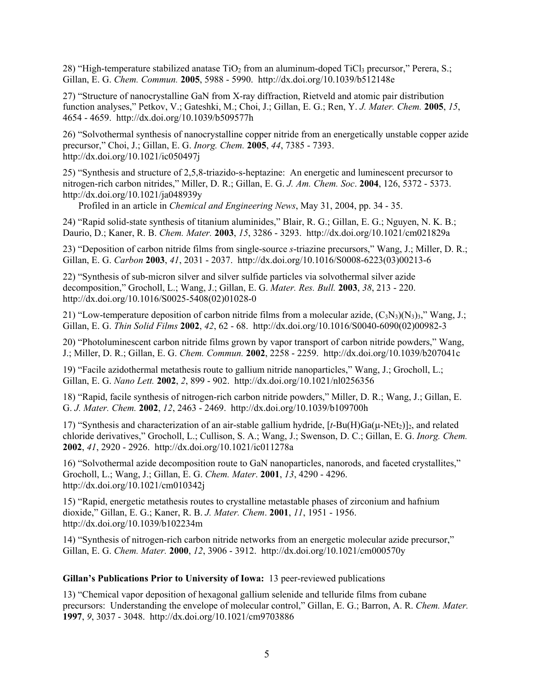28) "High-temperature stabilized anatase  $TiO<sub>2</sub>$  from an aluminum-doped  $TiCl<sub>3</sub>$  precursor," Perera, S.; Gillan, E. G. *Chem. Commun.* **2005**, 5988 - 5990. http://dx.doi.org/10.1039/b512148e

27) "Structure of nanocrystalline GaN from X-ray diffraction, Rietveld and atomic pair distribution function analyses," Petkov, V.; Gateshki, M.; Choi, J.; Gillan, E. G.; Ren, Y. *J. Mater. Chem.* **2005**, *15*, 4654 - 4659. http://dx.doi.org/10.1039/b509577h

26) "Solvothermal synthesis of nanocrystalline copper nitride from an energetically unstable copper azide precursor," Choi, J.; Gillan, E. G. *Inorg. Chem.* **2005**, *44*, 7385 - 7393. http://dx.doi.org/10.1021/ic050497j

25) "Synthesis and structure of 2,5,8-triazido-s-heptazine: An energetic and luminescent precursor to nitrogen-rich carbon nitrides," Miller, D. R.; Gillan, E. G. *J. Am. Chem. Soc*. **2004**, 126, 5372 - 5373. http://dx.doi.org/10.1021/ja048939y

Profiled in an article in *Chemical and Engineering News*, May 31, 2004, pp. 34 - 35.

24) "Rapid solid-state synthesis of titanium aluminides," Blair, R. G.; Gillan, E. G.; Nguyen, N. K. B.; Daurio, D.; Kaner, R. B. *Chem. Mater.* **2003**, *15*, 3286 - 3293. http://dx.doi.org/10.1021/cm021829a

23) "Deposition of carbon nitride films from single-source *s*-triazine precursors," Wang, J.; Miller, D. R.; Gillan, E. G. *Carbon* **2003**, *41*, 2031 - 2037. http://dx.doi.org/10.1016/S0008-6223(03)00213-6

22) "Synthesis of sub-micron silver and silver sulfide particles via solvothermal silver azide decomposition," Grocholl, L.; Wang, J.; Gillan, E. G. *Mater. Res. Bull.* **2003**, *38*, 213 - 220. http://dx.doi.org/10.1016/S0025-5408(02)01028-0

21) "Low-temperature deposition of carbon nitride films from a molecular azide,  $(C_3N_3)(N_3)$ <sub>3</sub>," Wang, J.; Gillan, E. G. *Thin Solid Films* **2002**, *42*, 62 - 68. http://dx.doi.org/10.1016/S0040-6090(02)00982-3

20) "Photoluminescent carbon nitride films grown by vapor transport of carbon nitride powders," Wang, J.; Miller, D. R.; Gillan, E. G. *Chem. Commun.* **2002**, 2258 - 2259. http://dx.doi.org/10.1039/b207041c

19) "Facile azidothermal metathesis route to gallium nitride nanoparticles," Wang, J.; Grocholl, L.; Gillan, E. G. *Nano Lett.* **2002**, *2*, 899 - 902. http://dx.doi.org/10.1021/nl0256356

18) "Rapid, facile synthesis of nitrogen-rich carbon nitride powders," Miller, D. R.; Wang, J.; Gillan, E. G. *J. Mater. Chem.* **2002**, *12*, 2463 - 2469. http://dx.doi.org/10.1039/b109700h

17) "Synthesis and characterization of an air-stable gallium hydride,  $[t-Bu(H)Ga(\mu-NEt_2)]_2$ , and related chloride derivatives," Grocholl, L.; Cullison, S. A.; Wang, J.; Swenson, D. C.; Gillan, E. G. *Inorg. Chem.* **2002**, *41*, 2920 - 2926. http://dx.doi.org/10.1021/ic011278a

16) "Solvothermal azide decomposition route to GaN nanoparticles, nanorods, and faceted crystallites," Grocholl, L.; Wang, J.; Gillan, E. G. *Chem. Mater*. **2001**, *13*, 4290 - 4296. http://dx.doi.org/10.1021/cm010342j

15) "Rapid, energetic metathesis routes to crystalline metastable phases of zirconium and hafnium dioxide," Gillan, E. G.; Kaner, R. B. *J. Mater. Chem*. **2001**, *11*, 1951 - 1956. http://dx.doi.org/10.1039/b102234m

14) "Synthesis of nitrogen-rich carbon nitride networks from an energetic molecular azide precursor," Gillan, E. G. *Chem. Mater.* **2000**, *12*, 3906 - 3912. http://dx.doi.org/10.1021/cm000570y

### **Gillan's Publications Prior to University of Iowa:** 13 peer-reviewed publications

13) "Chemical vapor deposition of hexagonal gallium selenide and telluride films from cubane precursors: Understanding the envelope of molecular control," Gillan, E. G.; Barron, A. R. *Chem. Mater.* **1997**, *9*, 3037 - 3048. http://dx.doi.org/10.1021/cm9703886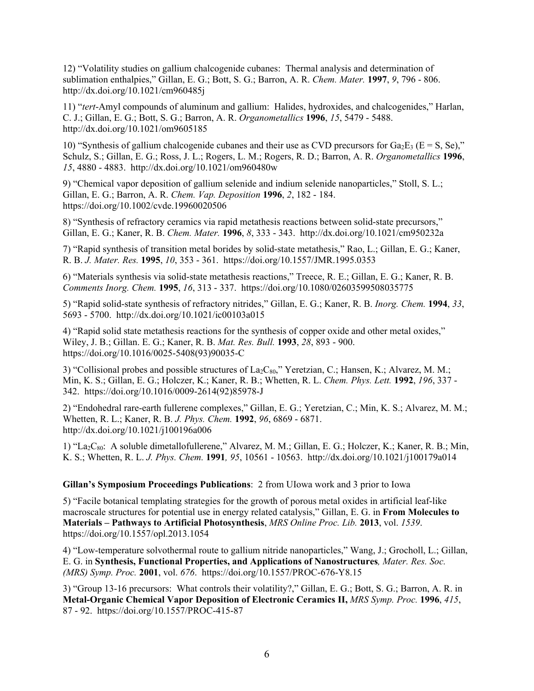12) "Volatility studies on gallium chalcogenide cubanes: Thermal analysis and determination of sublimation enthalpies," Gillan, E. G.; Bott, S. G.; Barron, A. R. *Chem. Mater.* **1997**, *9*, 796 - 806. http://dx.doi.org/10.1021/cm960485j

11) "*tert*-Amyl compounds of aluminum and gallium: Halides, hydroxides, and chalcogenides," Harlan, C. J.; Gillan, E. G.; Bott, S. G.; Barron, A. R. *Organometallics* **1996**, *15*, 5479 - 5488. http://dx.doi.org/10.1021/om9605185

10) "Synthesis of gallium chalcogenide cubanes and their use as CVD precursors for  $Ga_2E_3$  (E = S, Se)," Schulz, S.; Gillan, E. G.; Ross, J. L.; Rogers, L. M.; Rogers, R. D.; Barron, A. R. *Organometallics* **1996**, *15*, 4880 - 4883. http://dx.doi.org/10.1021/om960480w

9) "Chemical vapor deposition of gallium selenide and indium selenide nanoparticles," Stoll, S. L.; Gillan, E. G.; Barron, A. R. *Chem. Vap. Deposition* **1996**, *2*, 182 - 184. https://doi.org/10.1002/cvde.19960020506

8) "Synthesis of refractory ceramics via rapid metathesis reactions between solid-state precursors," Gillan, E. G.; Kaner, R. B. *Chem. Mater.* **1996**, *8*, 333 - 343. http://dx.doi.org/10.1021/cm950232a

7) "Rapid synthesis of transition metal borides by solid-state metathesis," Rao, L.; Gillan, E. G.; Kaner, R. B. *J. Mater. Res.* **1995**, *10*, 353 - 361. https://doi.org/10.1557/JMR.1995.0353

6) "Materials synthesis via solid-state metathesis reactions," Treece, R. E.; Gillan, E. G.; Kaner, R. B. *Comments Inorg. Chem.* **1995**, *16*, 313 - 337. https://doi.org/10.1080/02603599508035775

5) "Rapid solid-state synthesis of refractory nitrides," Gillan, E. G.; Kaner, R. B. *Inorg. Chem.* **1994**, *33*, 5693 - 5700. http://dx.doi.org/10.1021/ic00103a015

4) "Rapid solid state metathesis reactions for the synthesis of copper oxide and other metal oxides," Wiley, J. B.; Gillan. E. G.; Kaner, R. B. *Mat. Res. Bull.* **1993**, *28*, 893 - 900. https://doi.org/10.1016/0025-5408(93)90035-C

3) "Collisional probes and possible structures of La<sub>2</sub>C<sub>80</sub>," Yeretzian, C.; Hansen, K.; Alvarez, M. M.; Min, K. S.; Gillan, E. G.; Holczer, K.; Kaner, R. B.; Whetten, R. L. *Chem. Phys. Lett.* **1992**, *196*, 337 - 342. https://doi.org/10.1016/0009-2614(92)85978-J

2) "Endohedral rare-earth fullerene complexes," Gillan, E. G.; Yeretzian, C.; Min, K. S.; Alvarez, M. M.; Whetten, R. L.; Kaner, R. B. *J. Phys. Chem.* **1992**, *96*, 6869 - 6871. http://dx.doi.org/10.1021/j100196a006

1) "La2C80: A soluble dimetallofullerene," Alvarez, M. M.; Gillan, E. G.; Holczer, K.; Kaner, R. B.; Min, K. S.; Whetten, R. L. *J. Phys. Chem.* **1991***, 95*, 10561 - 10563. http://dx.doi.org/10.1021/j100179a014

#### **Gillan's Symposium Proceedings Publications**: 2 from UIowa work and 3 prior to Iowa

5) "Facile botanical templating strategies for the growth of porous metal oxides in artificial leaf-like macroscale structures for potential use in energy related catalysis," Gillan, E. G. in **From Molecules to Materials – Pathways to Artificial Photosynthesis**, *MRS Online Proc. Lib.* **2013**, vol. *1539*. https://doi.org/10.1557/opl.2013.1054

4) "Low-temperature solvothermal route to gallium nitride nanoparticles," Wang, J.; Grocholl, L.; Gillan, E. G. in **Synthesis, Functional Properties, and Applications of Nanostructures***, Mater. Res. Soc. (MRS) Symp. Proc.* **2001**, vol. *676*. https://doi.org/10.1557/PROC-676-Y8.15

3) "Group 13-16 precursors: What controls their volatility?," Gillan, E. G.; Bott, S. G.; Barron, A. R. in **Metal-Organic Chemical Vapor Deposition of Electronic Ceramics II,** *MRS Symp. Proc.* **1996**, *415*, 87 - 92. https://doi.org/10.1557/PROC-415-87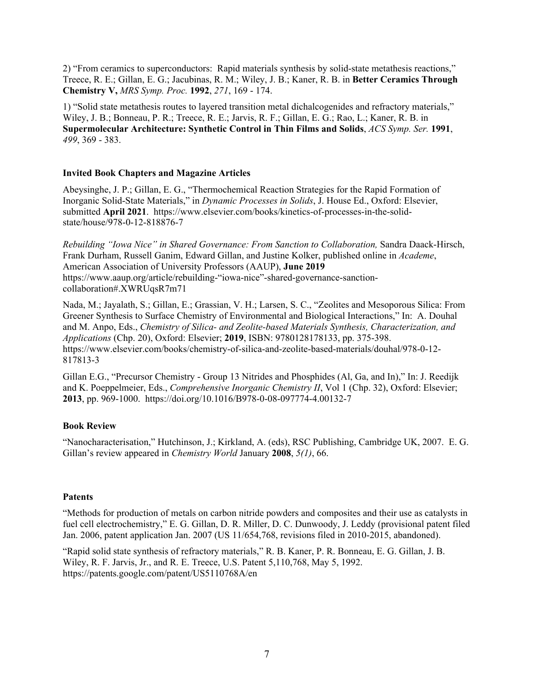2) "From ceramics to superconductors: Rapid materials synthesis by solid-state metathesis reactions," Treece, R. E.; Gillan, E. G.; Jacubinas, R. M.; Wiley, J. B.; Kaner, R. B. in **Better Ceramics Through Chemistry V,** *MRS Symp. Proc.* **1992**, *271*, 169 - 174.

1) "Solid state metathesis routes to layered transition metal dichalcogenides and refractory materials," Wiley, J. B.; Bonneau, P. R.; Treece, R. E.; Jarvis, R. F.; Gillan, E. G.; Rao, L.; Kaner, R. B. in **Supermolecular Architecture: Synthetic Control in Thin Films and Solids**, *ACS Symp. Ser.* **1991**, *499*, 369 - 383.

## **Invited Book Chapters and Magazine Articles**

Abeysinghe, J. P.; Gillan, E. G., "Thermochemical Reaction Strategies for the Rapid Formation of Inorganic Solid-State Materials," in *Dynamic Processes in Solids*, J. House Ed., Oxford: Elsevier, submitted **April 2021**. https://www.elsevier.com/books/kinetics-of-processes-in-the-solidstate/house/978-0-12-818876-7

*Rebuilding "Iowa Nice" in Shared Governance: From Sanction to Collaboration,* Sandra Daack-Hirsch, Frank Durham, Russell Ganim, Edward Gillan, and Justine Kolker, published online in *Academe*, American Association of University Professors (AAUP), **June 2019** https://www.aaup.org/article/rebuilding-"iowa-nice"-shared-governance-sanctioncollaboration#.XWRUqsR7m71

Nada, M.; Jayalath, S.; Gillan, E.; Grassian, V. H.; Larsen, S. C., "Zeolites and Mesoporous Silica: From Greener Synthesis to Surface Chemistry of Environmental and Biological Interactions," In: A. Douhal and M. Anpo, Eds., *Chemistry of Silica- and Zeolite-based Materials Synthesis, Characterization, and Applications* (Chp. 20), Oxford: Elsevier; **2019**, ISBN: 9780128178133, pp. 375-398. https://www.elsevier.com/books/chemistry-of-silica-and-zeolite-based-materials/douhal/978-0-12- 817813-3

Gillan E.G., "Precursor Chemistry - Group 13 Nitrides and Phosphides (Al, Ga, and In)," In: J. Reedijk and K. Poeppelmeier, Eds., *Comprehensive Inorganic Chemistry II*, Vol 1 (Chp. 32), Oxford: Elsevier; **2013**, pp. 969-1000. https://doi.org/10.1016/B978-0-08-097774-4.00132-7

# **Book Review**

"Nanocharacterisation," Hutchinson, J.; Kirkland, A. (eds), RSC Publishing, Cambridge UK, 2007. E. G. Gillan's review appeared in *Chemistry World* January **2008**, *5(1)*, 66.

# **Patents**

"Methods for production of metals on carbon nitride powders and composites and their use as catalysts in fuel cell electrochemistry," E. G. Gillan, D. R. Miller, D. C. Dunwoody, J. Leddy (provisional patent filed Jan. 2006, patent application Jan. 2007 (US 11/654,768, revisions filed in 2010-2015, abandoned).

"Rapid solid state synthesis of refractory materials," R. B. Kaner, P. R. Bonneau, E. G. Gillan, J. B. Wiley, R. F. Jarvis, Jr., and R. E. Treece, U.S. Patent 5,110,768, May 5, 1992. https://patents.google.com/patent/US5110768A/en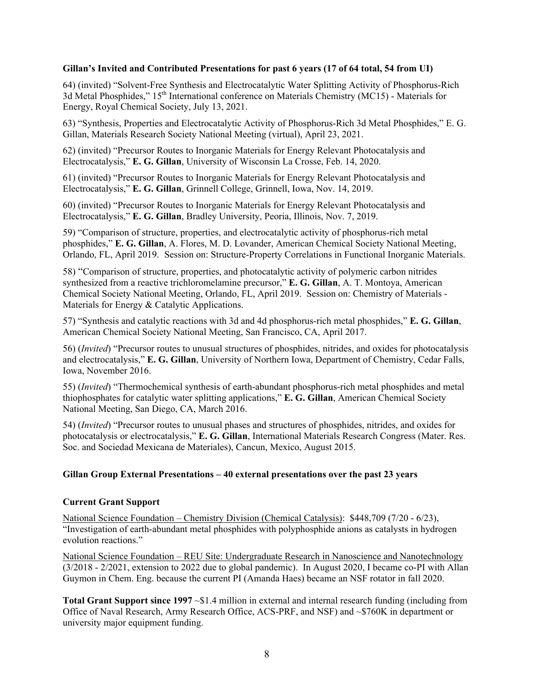#### **Gillan's Invited and Contributed Presentations for past 6 years (17 of 64 total, 54 from UI)**

64) (invited) "Solvent-Free Synthesis and Electrocatalytic Water Splitting Activity of Phosphorus-Rich 3d Metal Phosphides," 15<sup>th</sup> International conference on Materials Chemistry (MC15) - Materials for Energy, Royal Chemical Society, July 13, 2021.

63) "Synthesis, Properties and Electrocatalytic Activity of Phosphorus-Rich 3d Metal Phosphides," E. G. Gillan, Materials Research Society National Meeting (virtual), April 23, 2021.

62) (invited) "Precursor Routes to Inorganic Materials for Energy Relevant Photocatalysis and Electrocatalysis," **E. G. Gillan**, University of Wisconsin La Crosse, Feb. 14, 2020.

61) (invited) "Precursor Routes to Inorganic Materials for Energy Relevant Photocatalysis and Electrocatalysis," **E. G. Gillan**, Grinnell College, Grinnell, Iowa, Nov. 14, 2019.

60) (invited) "Precursor Routes to Inorganic Materials for Energy Relevant Photocatalysis and Electrocatalysis," **E. G. Gillan**, Bradley University, Peoria, Illinois, Nov. 7, 2019.

59) "Comparison of structure, properties, and electrocatalytic activity of phosphorus-rich metal phosphides," **E. G. Gillan**, A. Flores, M. D. Lovander, American Chemical Society National Meeting, Orlando, FL, April 2019. Session on: Structure-Property Correlations in Functional Inorganic Materials.

58) "Comparison of structure, properties, and photocatalytic activity of polymeric carbon nitrides synthesized from a reactive trichloromelamine precursor," **E. G. Gillan**, A. T. Montoya, American Chemical Society National Meeting, Orlando, FL, April 2019. Session on: Chemistry of Materials - Materials for Energy & Catalytic Applications.

57) "Synthesis and catalytic reactions with 3d and 4d phosphorus-rich metal phosphides," **E. G. Gillan**, American Chemical Society National Meeting, San Francisco, CA, April 2017.

56) (*Invited*) "Precursor routes to unusual structures of phosphides, nitrides, and oxides for photocatalysis and electrocatalysis," **E. G. Gillan**, University of Northern Iowa, Department of Chemistry, Cedar Falls, Iowa, November 2016.

55) (*Invited*) "Thermochemical synthesis of earth-abundant phosphorus-rich metal phosphides and metal thiophosphates for catalytic water splitting applications," **E. G. Gillan**, American Chemical Society National Meeting, San Diego, CA, March 2016.

54) (*Invited*) "Precursor routes to unusual phases and structures of phosphides, nitrides, and oxides for photocatalysis or electrocatalysis," **E. G. Gillan**, International Materials Research Congress (Mater. Res. Soc. and Sociedad Mexicana de Materiales), Cancun, Mexico, August 2015.

### **Gillan Group External Presentations – 40 external presentations over the past 23 years**

### **Current Grant Support**

National Science Foundation – Chemistry Division (Chemical Catalysis): \$448,709 (7/20 - 6/23), "Investigation of earth-abundant metal phosphides with polyphosphide anions as catalysts in hydrogen evolution reactions."

National Science Foundation – REU Site: Undergraduate Research in Nanoscience and Nanotechnology (3/2018 - 2/2021, extension to 2022 due to global pandemic). In August 2020, I became co-PI with Allan Guymon in Chem. Eng. because the current PI (Amanda Haes) became an NSF rotator in fall 2020.

**Total Grant Support since 1997** ~\$1.4 million in external and internal research funding (including from Office of Naval Research, Army Research Office, ACS-PRF, and NSF) and ~\$760K in department or university major equipment funding.